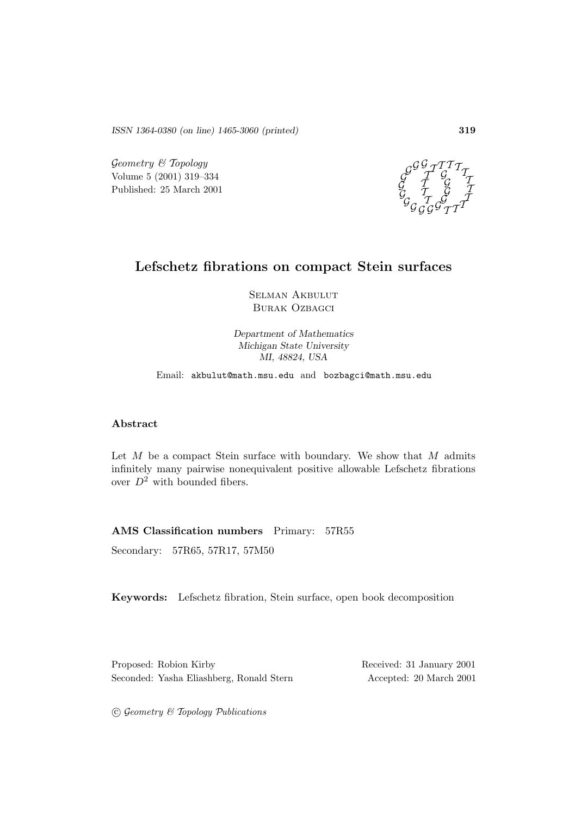*ISSN 1364-0380 (on line) 1465-3060 (printed)* **319**

 $Geometry \& Topology$ Volume 5 (2001) 319–334 Published: 25 March 2001



# **Lefschetz fibrations on compact Stein surfaces**

Selman Akbulut Burak Ozbagci

*Department of Mathematics Michigan State University MI, 48824, USA*

Email: akbulut@math.msu.edu and bozbagci@math.msu.edu

## **Abstract**

Let  $M$  be a compact Stein surface with boundary. We show that  $M$  admits infinitely many pairwise nonequivalent positive allowable Lefschetz fibrations over  $D^2$  with bounded fibers.

**AMS Classification numbers** Primary: 57R55

Secondary: 57R65, 57R17, 57M50

**Keywords:** Lefschetz fibration, Stein surface, open book decomposition

Proposed: Robion Kirby Received: 31 January 2001 Seconded: Yasha Eliashberg, Ronald Stern Accepted: 20 March 2001

 $C$  Geometry  $C$  Topology Publications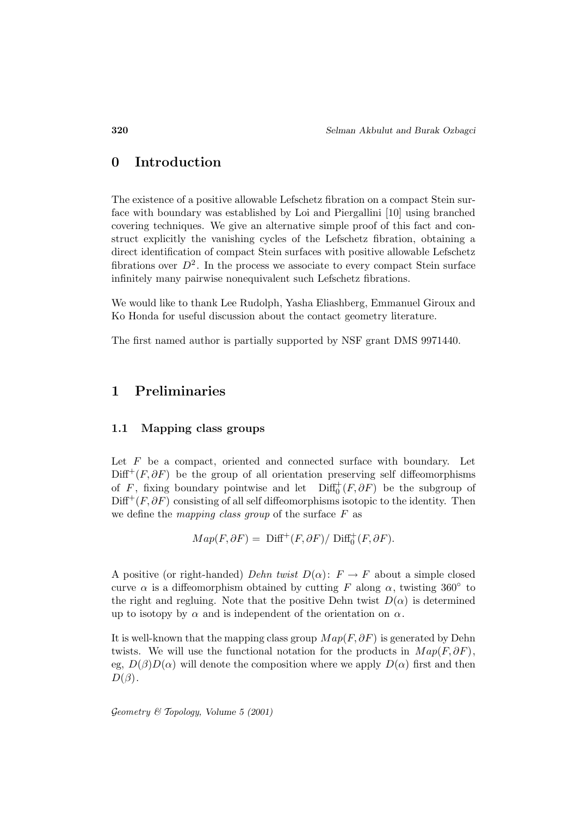## **0 Introduction**

The existence of a positive allowable Lefschetz fibration on a compact Stein surface with boundary was established by Loi and Piergallini [10] using branched covering techniques. We give an alternative simple proof of this fact and construct explicitly the vanishing cycles of the Lefschetz fibration, obtaining a direct identification of compact Stein surfaces with positive allowable Lefschetz fibrations over  $D^2$ . In the process we associate to every compact Stein surface infinitely many pairwise nonequivalent such Lefschetz fibrations.

We would like to thank Lee Rudolph, Yasha Eliashberg, Emmanuel Giroux and Ko Honda for useful discussion about the contact geometry literature.

The first named author is partially supported by NSF grant DMS 9971440.

## **1 Preliminaries**

## **1.1 Mapping class groups**

Let  $F$  be a compact, oriented and connected surface with boundary. Let  $\text{Diff}^+(F, \partial F)$  be the group of all orientation preserving self diffeomorphisms of F, fixing boundary pointwise and let  $\text{Diff}^+_0(F, \partial F)$  be the subgroup of  $\text{Diff}^+(F, \partial F)$  consisting of all self diffeomorphisms isotopic to the identity. Then we define the mapping class group of the surface  $F$  as

$$
Map(F, \partial F) = \text{Diff}^+(F, \partial F) / \text{Diff}^+_0(F, \partial F).
$$

A positive (or right-handed) Dehn twist  $D(\alpha)$ :  $F \to F$  about a simple closed curve  $\alpha$  is a diffeomorphism obtained by cutting F along  $\alpha$ , twisting 360° to the right and regluing. Note that the positive Dehn twist  $D(\alpha)$  is determined up to isotopy by  $\alpha$  and is independent of the orientation on  $\alpha$ .

It is well-known that the mapping class group  $Map(F, \partial F)$  is generated by Dehn twists. We will use the functional notation for the products in  $Map(F, \partial F)$ , eg,  $D(\beta)D(\alpha)$  will denote the composition where we apply  $D(\alpha)$  first and then  $D(\beta)$ .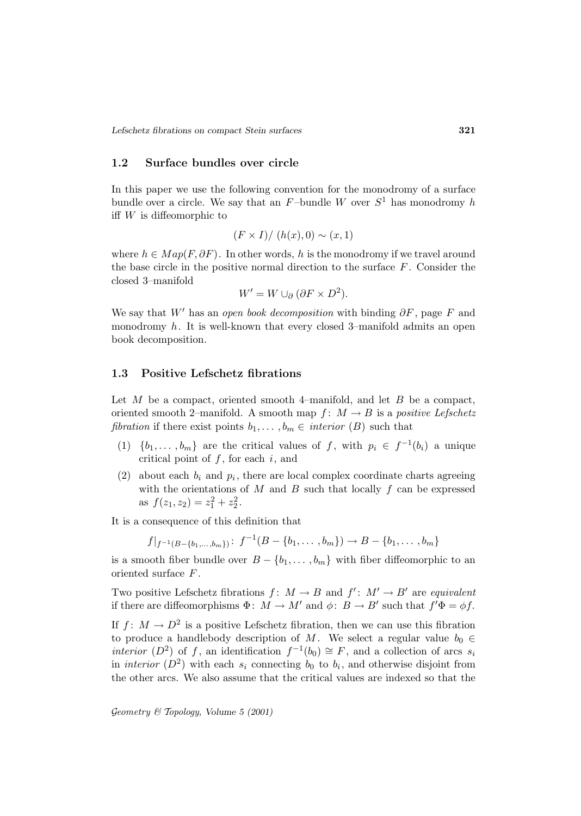### **1.2 Surface bundles over circle**

In this paper we use the following convention for the monodromy of a surface bundle over a circle. We say that an  $F$ -bundle W over  $S<sup>1</sup>$  has monodromy h iff  $W$  is diffeomorphic to

$$
(F \times I) / (h(x), 0) \sim (x, 1)
$$

where  $h \in Map(F, \partial F)$ . In other words, h is the monodromy if we travel around the base circle in the positive normal direction to the surface  $F$ . Consider the closed 3–manifold

$$
W' = W \cup_{\partial} (\partial F \times D^2).
$$

We say that W' has an open book decomposition with binding  $\partial F$ , page F and monodromy  $h$ . It is well-known that every closed 3-manifold admits an open book decomposition.

## **1.3 Positive Lefschetz fibrations**

Let  $M$  be a compact, oriented smooth 4–manifold, and let  $B$  be a compact, oriented smooth 2–manifold. A smooth map  $f: M \to B$  is a positive Lefschetz fibration if there exist points  $b_1, \ldots, b_m \in$  interior  $(B)$  such that

- (1)  $\{b_1,\ldots,b_m\}$  are the critical values of f, with  $p_i \in f^{-1}(b_i)$  a unique critical point of  $f$ , for each  $i$ , and
- (2) about each  $b_i$  and  $p_i$ , there are local complex coordinate charts agreeing with the orientations of  $M$  and  $B$  such that locally  $f$  can be expressed as  $f(z_1, z_2) = z_1^2 + z_2^2$ .

It is a consequence of this definition that

$$
f|_{f^{-1}(B-\{b_1,\ldots,b_m\})} \colon f^{-1}(B-\{b_1,\ldots,b_m\}) \to B-\{b_1,\ldots,b_m\}
$$

is a smooth fiber bundle over  $B - \{b_1, \ldots, b_m\}$  with fiber diffeomorphic to an oriented surface F .

Two positive Lefschetz fibrations  $f: M \to B$  and  $f': M' \to B'$  are equivalent if there are diffeomorphisms  $\Phi: M \to M'$  and  $\phi: B \to B'$  such that  $f' \Phi = \phi f$ .

If  $f: M \to D^2$  is a positive Lefschetz fibration, then we can use this fibration to produce a handlebody description of M. We select a regular value  $b_0 \in$ *interior*  $(D^2)$  of f, an identification  $f^{-1}(b_0) \cong F$ , and a collection of arcs s<sub>i</sub> in interior  $(D^2)$  with each  $s_i$  connecting  $b_0$  to  $b_i$ , and otherwise disjoint from the other arcs. We also assume that the critical values are indexed so that the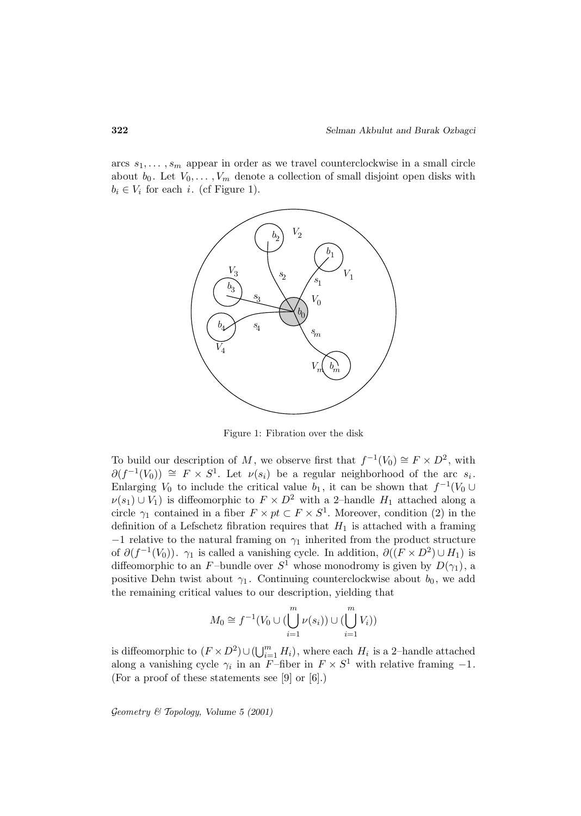arcs  $s_1, \ldots, s_m$  appear in order as we travel counterclockwise in a small circle about  $b_0$ . Let  $V_0, \ldots, V_m$  denote a collection of small disjoint open disks with  $b_i \in V_i$  for each i. (cf Figure 1).



Figure 1: Fibration over the disk

To build our description of M, we observe first that  $f^{-1}(V_0) \cong F \times D^2$ , with  $\partial(f^{-1}(V_0)) \cong F \times S^1$ . Let  $\nu(s_i)$  be a regular neighborhood of the arc  $s_i$ . Enlarging  $V_0$  to include the critical value  $b_1$ , it can be shown that  $f^{-1}(V_0 \cup$  $\nu(s_1) \cup V_1$ ) is diffeomorphic to  $F \times D^2$  with a 2-handle  $H_1$  attached along a circle  $\gamma_1$  contained in a fiber  $F \times pt \subset F \times S^1$ . Moreover, condition (2) in the definition of a Lefschetz fibration requires that  $H_1$  is attached with a framing  $-1$  relative to the natural framing on  $\gamma_1$  inherited from the product structure of  $\partial (f^{-1}(V_0))$ .  $\gamma_1$  is called a vanishing cycle. In addition,  $\partial ((F \times D^2) \cup H_1)$  is diffeomorphic to an F-bundle over  $S^1$  whose monodromy is given by  $D(\gamma_1)$ , a positive Dehn twist about  $\gamma_1$ . Continuing counterclockwise about  $b_0$ , we add the remaining critical values to our description, yielding that

$$
M_0 \cong f^{-1}(V_0 \cup (\bigcup_{i=1}^m \nu(s_i)) \cup (\bigcup_{i=1}^m V_i))
$$

is diffeomorphic to  $(F \times D^2) \cup (\bigcup_{i=1}^m H_i)$ , where each  $H_i$  is a 2-handle attached along a vanishing cycle  $\gamma_i$  in an F-fiber in  $F \times S^1$  with relative framing -1. (For a proof of these statements see [9] or [6].)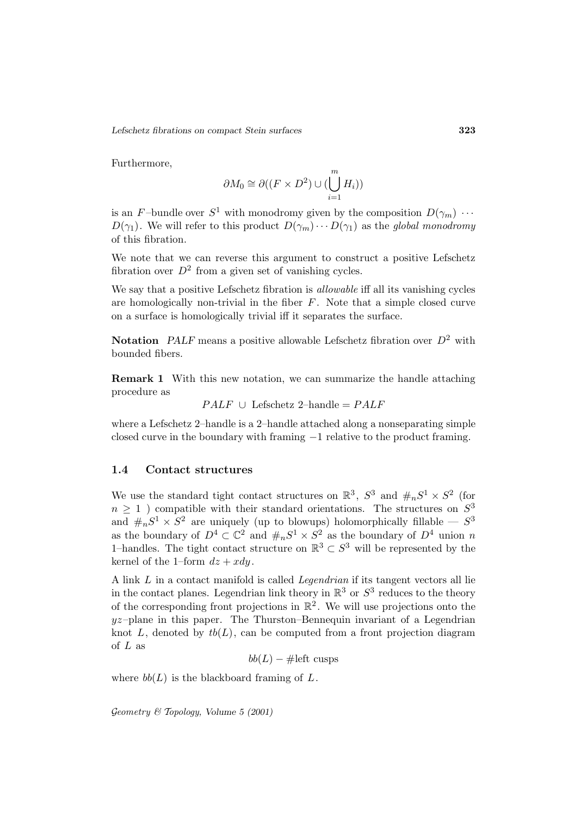Furthermore,

$$
\partial M_0 \cong \partial ((F \times D^2) \cup (\bigcup_{i=1}^m H_i))
$$

is an F-bundle over  $S^1$  with monodromy given by the composition  $D(\gamma_m) \cdots$  $D(\gamma_1)$ . We will refer to this product  $D(\gamma_m)\cdots D(\gamma_1)$  as the global monodromy of this fibration.

We note that we can reverse this argument to construct a positive Lefschetz fibration over  $D^2$  from a given set of vanishing cycles.

We say that a positive Lefschetz fibration is allowable iff all its vanishing cycles are homologically non-trivial in the fiber  $F$ . Note that a simple closed curve on a surface is homologically trivial iff it separates the surface.

**Notation** *PALF* means a positive allowable Lefschetz fibration over  $D^2$  with bounded fibers.

**Remark 1** With this new notation, we can summarize the handle attaching procedure as

 $PALF \cup$  Lefschetz 2–handle =  $PALF$ 

where a Lefschetz 2–handle is a 2–handle attached along a nonseparating simple closed curve in the boundary with framing −1 relative to the product framing.

#### **1.4 Contact structures**

We use the standard tight contact structures on  $\mathbb{R}^3$ ,  $S^3$  and  $\#_nS^1 \times S^2$  (for  $n > 1$ ) compatible with their standard orientations. The structures on  $S^3$ and  $\#_nS^1 \times S^2$  are uniquely (up to blowups) holomorphically fillable —  $S^3$ as the boundary of  $D^4 \subset \mathbb{C}^2$  and  $\#_n S^1 \times S^2$  as the boundary of  $D^4$  union n 1–handles. The tight contact structure on  $\mathbb{R}^3 \subset S^3$  will be represented by the kernel of the 1–form  $dz + xdy$ .

A link L in a contact manifold is called Legendrian if its tangent vectors all lie in the contact planes. Legendrian link theory in  $\mathbb{R}^3$  or  $S^3$  reduces to the theory of the corresponding front projections in  $\mathbb{R}^2$ . We will use projections onto the  $yz$ -plane in this paper. The Thurston–Bennequin invariant of a Legendrian knot  $L$ , denoted by  $tb(L)$ , can be computed from a front projection diagram of  $L$  as

 $bb(L) - \#left$  cusps

where  $bb(L)$  is the blackboard framing of  $L$ .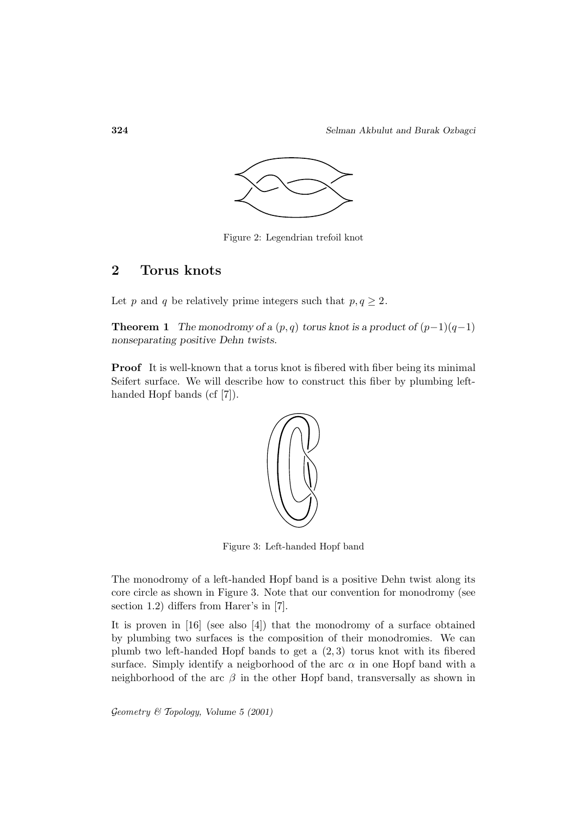

Figure 2: Legendrian trefoil knot

# **2 Torus knots**

Let p and q be relatively prime integers such that  $p, q \geq 2$ .

**Theorem 1** *The monodromy of a*  $(p, q)$  *torus knot is a product of*  $(p-1)(q-1)$ *nonseparating positive Dehn twists.*

**Proof** It is well-known that a torus knot is fibered with fiber being its minimal Seifert surface. We will describe how to construct this fiber by plumbing lefthanded Hopf bands (cf [7]).



Figure 3: Left-handed Hopf band

The monodromy of a left-handed Hopf band is a positive Dehn twist along its core circle as shown in Figure 3. Note that our convention for monodromy (see section 1.2) differs from Harer's in [7].

It is proven in [16] (see also [4]) that the monodromy of a surface obtained by plumbing two surfaces is the composition of their monodromies. We can plumb two left-handed Hopf bands to get a (2, 3) torus knot with its fibered surface. Simply identify a neigborhood of the arc  $\alpha$  in one Hopf band with a neighborhood of the arc  $\beta$  in the other Hopf band, transversally as shown in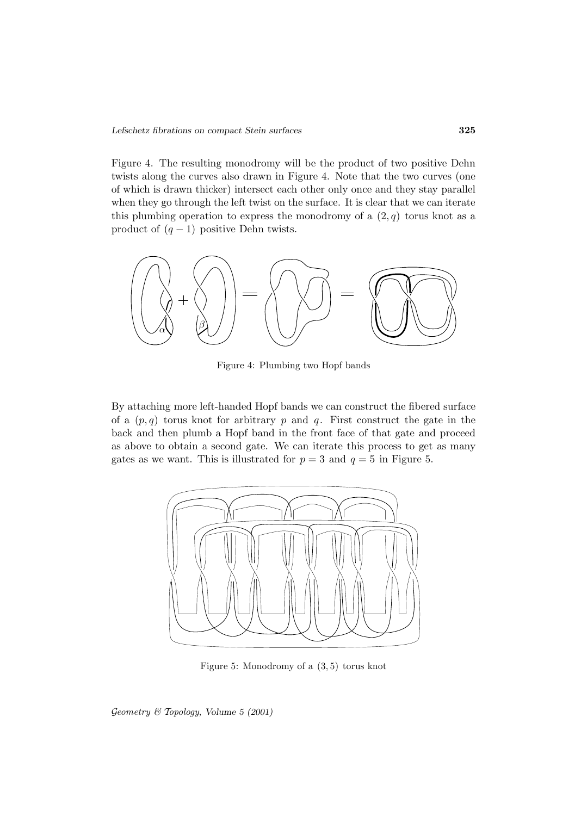Figure 4. The resulting monodromy will be the product of two positive Dehn twists along the curves also drawn in Figure 4. Note that the two curves (one of which is drawn thicker) intersect each other only once and they stay parallel when they go through the left twist on the surface. It is clear that we can iterate this plumbing operation to express the monodromy of a  $(2, q)$  torus knot as a product of  $(q - 1)$  positive Dehn twists.



Figure 4: Plumbing two Hopf bands

By attaching more left-handed Hopf bands we can construct the fibered surface of a  $(p, q)$  torus knot for arbitrary p and q. First construct the gate in the back and then plumb a Hopf band in the front face of that gate and proceed as above to obtain a second gate. We can iterate this process to get as many gates as we want. This is illustrated for  $p = 3$  and  $q = 5$  in Figure 5.



Figure 5: Monodromy of a (3, 5) torus knot

Geometry & Topology*, Volume 5 (2001)*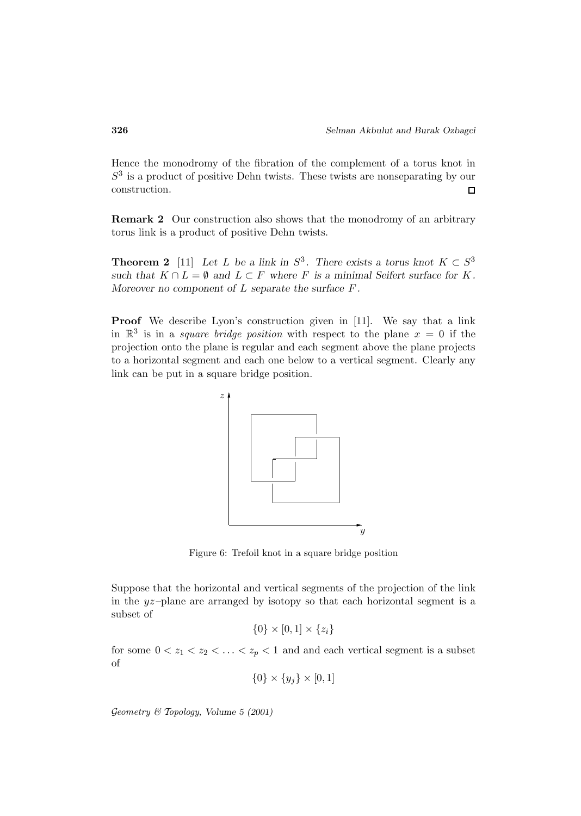Hence the monodromy of the fibration of the complement of a torus knot in  $S<sup>3</sup>$  is a product of positive Dehn twists. These twists are nonseparating by our construction.  $\Box$ 

**Remark 2** Our construction also shows that the monodromy of an arbitrary torus link is a product of positive Dehn twists.

**Theorem 2** [11] *Let L be a link in*  $S^3$ *. There exists a torus knot*  $K \subset S^3$ *such that*  $K \cap L = \emptyset$  *and*  $L \subset F$  *where* F *is a minimal Seifert surface for* K. *Moreover no component of* L *separate the surface* F *.*

Proof We describe Lyon's construction given in [11]. We say that a link in  $\mathbb{R}^3$  is in a *square bridge position* with respect to the plane  $x = 0$  if the projection onto the plane is regular and each segment above the plane projects to a horizontal segment and each one below to a vertical segment. Clearly any link can be put in a square bridge position.



Figure 6: Trefoil knot in a square bridge position

Suppose that the horizontal and vertical segments of the projection of the link in the yz–plane are arranged by isotopy so that each horizontal segment is a subset of

$$
\{0\} \times [0,1] \times \{z_i\}
$$

for some  $0 < z_1 < z_2 < \ldots < z_p < 1$  and and each vertical segment is a subset of

$$
\{0\} \times \{y_j\} \times [0,1]
$$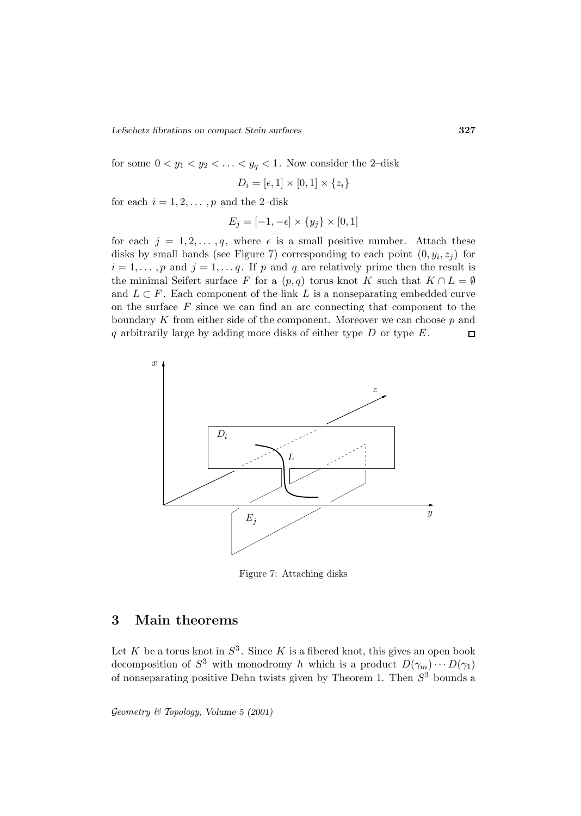for some  $0 < y_1 < y_2 < \ldots < y_q < 1$ . Now consider the 2-disk

$$
D_i = [\epsilon, 1] \times [0, 1] \times \{z_i\}
$$

for each  $i = 1, 2, \ldots, p$  and the 2-disk

$$
E_j = [-1, -\epsilon] \times \{y_j\} \times [0, 1]
$$

for each  $j = 1, 2, ..., q$ , where  $\epsilon$  is a small positive number. Attach these disks by small bands (see Figure 7) corresponding to each point  $(0, y_i, z_j)$  for  $i = 1, \ldots, p$  and  $j = 1, \ldots, q$ . If p and q are relatively prime then the result is the minimal Seifert surface F for a  $(p, q)$  torus knot K such that  $K \cap L = \emptyset$ and  $L \subset F$ . Each component of the link L is a nonseparating embedded curve on the surface  $F$  since we can find an arc connecting that component to the boundary  $K$  from either side of the component. Moreover we can choose  $p$  and q arbitrarily large by adding more disks of either type  $D$  or type  $E$ .  $\Box$ 



Figure 7: Attaching disks

## **3 Main theorems**

Let K be a torus knot in  $S^3$ . Since K is a fibered knot, this gives an open book decomposition of  $S^3$  with monodromy h which is a product  $D(\gamma_m)\cdots D(\gamma_1)$ of nonseparating positive Dehn twists given by Theorem 1. Then  $S^3$  bounds a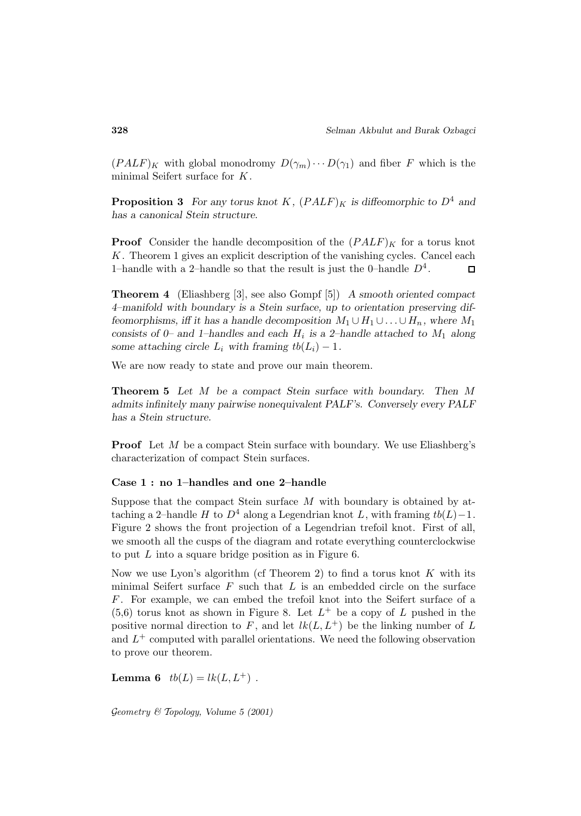$(PALF)<sub>K</sub>$  with global monodromy  $D(\gamma_m)\cdots D(\gamma_1)$  and fiber F which is the minimal Seifert surface for K.

**Proposition 3** For any torus knot K,  $(PALF)$ <sub>K</sub> is diffeomorphic to  $D^4$  and *has a canonical Stein structure.*

**Proof** Consider the handle decomposition of the  $(PALF)<sub>K</sub>$  for a torus knot K. Theorem 1 gives an explicit description of the vanishing cycles. Cancel each 1–handle with a 2–handle so that the result is just the 0–handle  $D^4$ .  $\Box$ 

**Theorem 4** (Eliashberg [3], see also Gompf [5]) *A smooth oriented compact 4–manifold with boundary is a Stein surface, up to orientation preserving diffeomorphisms, iff it has a handle decomposition*  $M_1 \cup H_1 \cup ... \cup H_n$ *, where*  $M_1$ *consists of 0– and 1–handles and each*  $H_i$  *is a 2–handle attached to*  $M_1$  *along some attaching circle*  $L_i$  *with framing*  $tb(L_i) - 1$ *.* 

We are now ready to state and prove our main theorem.

**Theorem 5** *Let* M *be a compact Stein surface with boundary. Then* M *admits infinitely many pairwise nonequivalent PALF's. Conversely every PALF has a Stein structure.*

**Proof** Let M be a compact Stein surface with boundary. We use Eliashberg's characterization of compact Stein surfaces.

#### **Case 1 : no 1–handles and one 2–handle**

Suppose that the compact Stein surface  $M$  with boundary is obtained by attaching a 2–handle H to  $D^4$  along a Legendrian knot L, with framing  $tb(L)-1$ . Figure 2 shows the front projection of a Legendrian trefoil knot. First of all, we smooth all the cusps of the diagram and rotate everything counterclockwise to put L into a square bridge position as in Figure 6.

Now we use Lyon's algorithm (cf Theorem 2) to find a torus knot  $K$  with its minimal Seifert surface  $F$  such that  $L$  is an embedded circle on the surface F . For example, we can embed the trefoil knot into the Seifert surface of a  $(5,6)$  torus knot as shown in Figure 8. Let  $L^+$  be a copy of L pushed in the positive normal direction to F, and let  $lk(L, L^+)$  be the linking number of L and  $L^+$  computed with parallel orientations. We need the following observation to prove our theorem.

**Lemma 6**  $tb(L) = lk(L, L^+$  .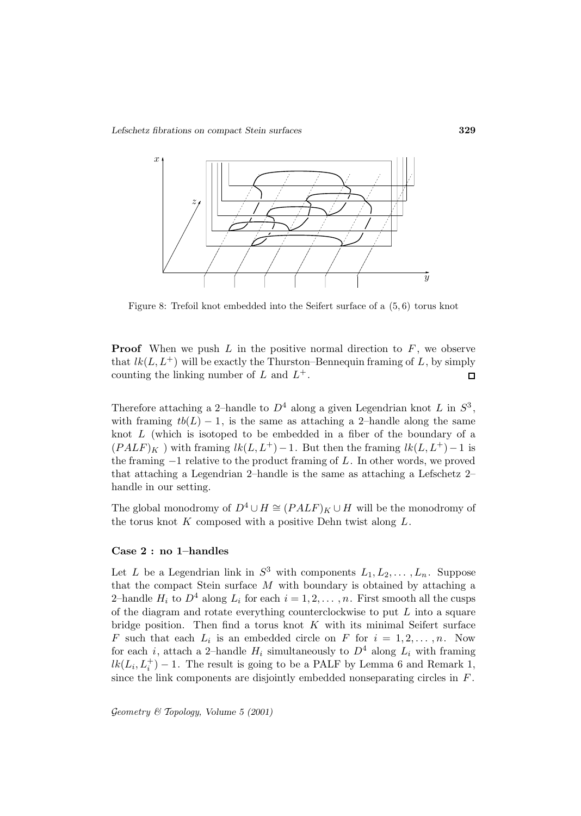

Figure 8: Trefoil knot embedded into the Seifert surface of a (5, 6) torus knot

**Proof** When we push  $L$  in the positive normal direction to  $F$ , we observe that  $lk(L, L^+)$  will be exactly the Thurston–Bennequin framing of L, by simply counting the linking number of  $L$  and  $L^+$ .  $\Box$ 

Therefore attaching a 2–handle to  $D^4$  along a given Legendrian knot L in  $S^3$ , with framing  $tb(L) - 1$ , is the same as attaching a 2-handle along the same knot  $L$  (which is isotoped to be embedded in a fiber of the boundary of a  $(PALF)_{K}$ ) with framing  $lk(L, L^{+})-1$ . But then the framing  $lk(L, L^{+})-1$  is the framing  $-1$  relative to the product framing of L. In other words, we proved that attaching a Legendrian 2–handle is the same as attaching a Lefschetz 2– handle in our setting.

The global monodromy of  $D^4 \cup H \cong (PALF)_K \cup H$  will be the monodromy of the torus knot  $K$  composed with a positive Dehn twist along  $L$ .

### **Case 2 : no 1–handles**

Let L be a Legendrian link in  $S^3$  with components  $L_1, L_2, \ldots, L_n$ . Suppose that the compact Stein surface  $M$  with boundary is obtained by attaching a 2-handle  $H_i$  to  $D^4$  along  $L_i$  for each  $i = 1, 2, \ldots, n$ . First smooth all the cusps of the diagram and rotate everything counterclockwise to put  $L$  into a square bridge position. Then find a torus knot  $K$  with its minimal Seifert surface F such that each  $L_i$  is an embedded circle on F for  $i = 1, 2, \ldots, n$ . Now for each i, attach a 2–handle  $H_i$  simultaneously to  $D^4$  along  $L_i$  with framing  $lk(L_i, L_i^+) - 1$ . The result is going to be a PALF by Lemma 6 and Remark 1, since the link components are disjointly embedded nonseparating circles in  $F$ .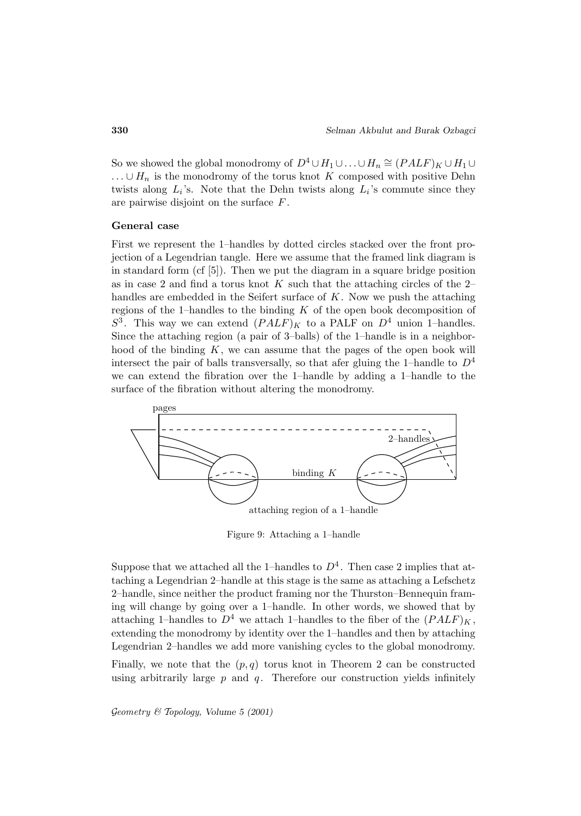So we showed the global monodromy of  $D^4 \cup H_1 \cup ... \cup H_n \cong (PALF)_K \cup H_1 \cup ...$  $\ldots \cup H_n$  is the monodromy of the torus knot K composed with positive Dehn twists along  $L_i$ 's. Note that the Dehn twists along  $L_i$ 's commute since they are pairwise disjoint on the surface F .

#### **General case**

First we represent the 1–handles by dotted circles stacked over the front projection of a Legendrian tangle. Here we assume that the framed link diagram is in standard form (cf [5]). Then we put the diagram in a square bridge position as in case 2 and find a torus knot  $K$  such that the attaching circles of the 2– handles are embedded in the Seifert surface of  $K$ . Now we push the attaching regions of the 1–handles to the binding  $K$  of the open book decomposition of  $S^3$ . This way we can extend  $(PALF)<sub>K</sub>$  to a PALF on  $D^4$  union 1–handles. Since the attaching region (a pair of 3–balls) of the 1–handle is in a neighborhood of the binding  $K$ , we can assume that the pages of the open book will intersect the pair of balls transversally, so that afer gluing the 1–handle to  $D^4$ we can extend the fibration over the 1–handle by adding a 1–handle to the surface of the fibration without altering the monodromy.



Figure 9: Attaching a 1–handle

Suppose that we attached all the 1–handles to  $D<sup>4</sup>$ . Then case 2 implies that attaching a Legendrian 2–handle at this stage is the same as attaching a Lefschetz 2–handle, since neither the product framing nor the Thurston–Bennequin framing will change by going over a 1–handle. In other words, we showed that by attaching 1–handles to  $D^4$  we attach 1–handles to the fiber of the  $(PALF)<sub>K</sub>$ , extending the monodromy by identity over the 1–handles and then by attaching Legendrian 2–handles we add more vanishing cycles to the global monodromy.

Finally, we note that the  $(p, q)$  torus knot in Theorem 2 can be constructed using arbitrarily large  $p$  and  $q$ . Therefore our construction yields infinitely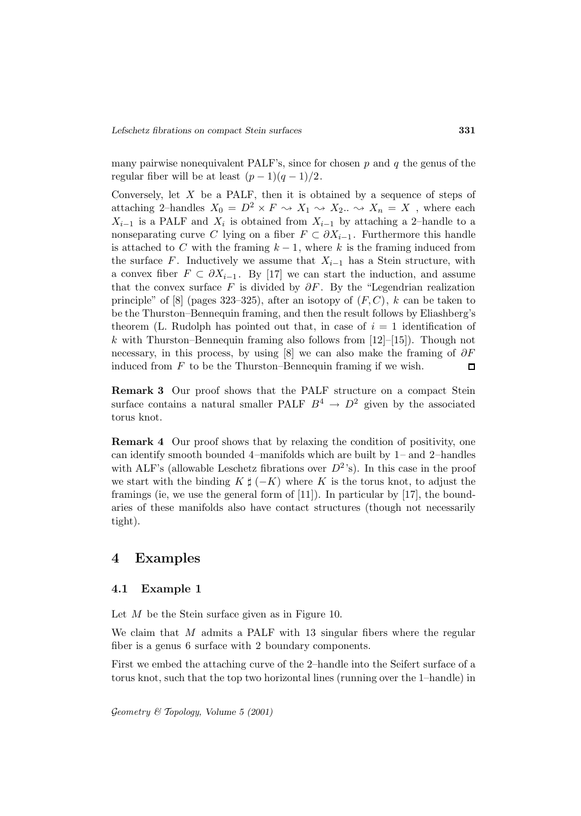many pairwise nonequivalent PALF's, since for chosen  $p$  and  $q$  the genus of the regular fiber will be at least  $(p-1)(q-1)/2$ .

Conversely, let  $X$  be a PALF, then it is obtained by a sequence of steps of attaching 2–handles  $X_0 = D^2 \times F \rightsquigarrow X_1 \rightsquigarrow X_2 \dots \rightsquigarrow X_n = X$ , where each  $X_{i-1}$  is a PALF and  $X_i$  is obtained from  $X_{i-1}$  by attaching a 2–handle to a nonseparating curve C lying on a fiber  $F \subset \partial X_{i-1}$ . Furthermore this handle is attached to C with the framing  $k-1$ , where k is the framing induced from the surface F. Inductively we assume that  $X_{i-1}$  has a Stein structure, with a convex fiber  $F \subset \partial X_{i-1}$ . By [17] we can start the induction, and assume that the convex surface F is divided by  $\partial F$ . By the "Legendrian realization" principle" of [8] (pages 323–325), after an isotopy of  $(F, C)$ , k can be taken to be the Thurston–Bennequin framing, and then the result follows by Eliashberg's theorem (L. Rudolph has pointed out that, in case of  $i = 1$  identification of k with Thurston–Bennequin framing also follows from  $[12]$ – $[15]$ ). Though not necessary, in this process, by using [8] we can also make the framing of  $\partial F$ induced from  $F$  to be the Thurston–Bennequin framing if we wish.  $\Box$ 

**Remark 3** Our proof shows that the PALF structure on a compact Stein surface contains a natural smaller PALF  $B^4 \rightarrow D^2$  given by the associated torus knot.

**Remark 4** Our proof shows that by relaxing the condition of positivity, one can identify smooth bounded 4–manifolds which are built by 1– and 2–handles with ALF's (allowable Leschetz fibrations over  $D^2$ 's). In this case in the proof we start with the binding  $K \sharp (-K)$  where K is the torus knot, to adjust the framings (ie, we use the general form of [11]). In particular by [17], the boundaries of these manifolds also have contact structures (though not necessarily tight).

## **4 Examples**

### **4.1 Example 1**

Let M be the Stein surface given as in Figure 10.

We claim that M admits a PALF with 13 singular fibers where the regular fiber is a genus 6 surface with 2 boundary components.

First we embed the attaching curve of the 2–handle into the Seifert surface of a torus knot, such that the top two horizontal lines (running over the 1–handle) in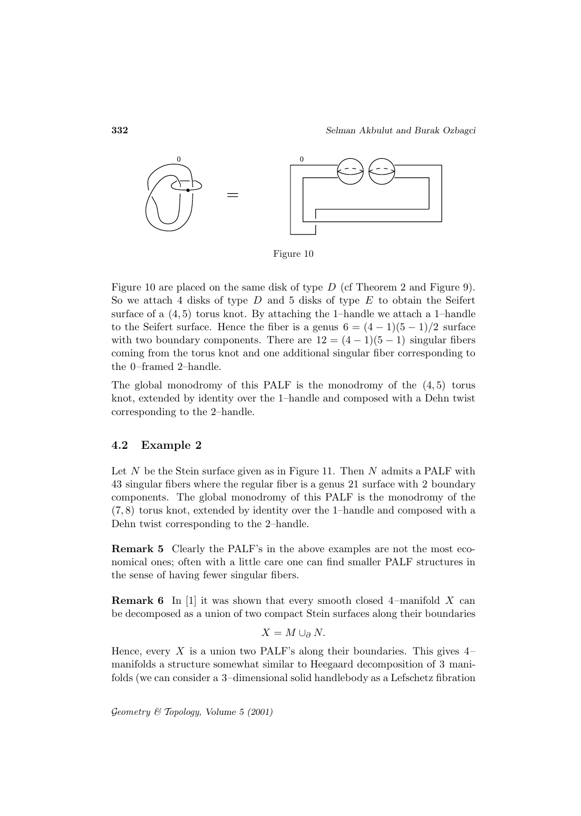

Figure 10

Figure 10 are placed on the same disk of type  $D$  (cf Theorem 2 and Figure 9). So we attach 4 disks of type  $D$  and 5 disks of type  $E$  to obtain the Seifert surface of a  $(4, 5)$  torus knot. By attaching the 1–handle we attach a 1–handle to the Seifert surface. Hence the fiber is a genus  $6 = (4 - 1)(5 - 1)/2$  surface with two boundary components. There are  $12 = (4 - 1)(5 - 1)$  singular fibers coming from the torus knot and one additional singular fiber corresponding to the 0–framed 2–handle.

The global monodromy of this PALF is the monodromy of the  $(4, 5)$  torus knot, extended by identity over the 1–handle and composed with a Dehn twist corresponding to the 2–handle.

## **4.2 Example 2**

Let  $N$  be the Stein surface given as in Figure 11. Then  $N$  admits a PALF with 43 singular fibers where the regular fiber is a genus 21 surface with 2 boundary components. The global monodromy of this PALF is the monodromy of the (7, 8) torus knot, extended by identity over the 1–handle and composed with a Dehn twist corresponding to the 2–handle.

**Remark 5** Clearly the PALF's in the above examples are not the most economical ones; often with a little care one can find smaller PALF structures in the sense of having fewer singular fibers.

**Remark 6** In [1] it was shown that every smooth closed 4-manifold X can be decomposed as a union of two compact Stein surfaces along their boundaries

$$
X = M \cup_{\partial} N.
$$

Hence, every X is a union two PALF's along their boundaries. This gives  $4$ manifolds a structure somewhat similar to Heegaard decomposition of 3 manifolds (we can consider a 3–dimensional solid handlebody as a Lefschetz fibration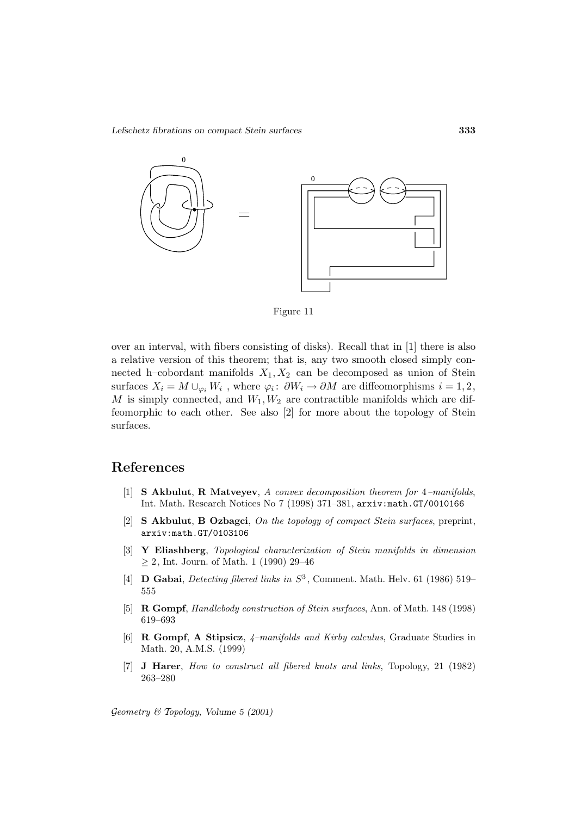

Figure 11

over an interval, with fibers consisting of disks). Recall that in [1] there is also a relative version of this theorem; that is, any two smooth closed simply connected h–cobordant manifolds  $X_1, X_2$  can be decomposed as union of Stein surfaces  $X_i = M \cup_{\varphi_i} W_i$ , where  $\varphi_i : \partial W_i \to \partial M$  are diffeomorphisms  $i = 1, 2,$ M is simply connected, and  $W_1, W_2$  are contractible manifolds which are diffeomorphic to each other. See also [2] for more about the topology of Stein surfaces.

## **References**

- [1] **S Akbulut**, **R Matveyev**, A convex decomposition theorem for 4–manifolds, Int. Math. Research Notices No 7 (1998) 371–381, arxiv:math.GT/0010166
- [2] **S Akbulut**, **B Ozbagci**, On the topology of compact Stein surfaces, preprint, arxiv:math.GT/0103106
- [3] **Y Eliashberg**, Topological characterization of Stein manifolds in dimension  $\geq$  2, Int. Journ. of Math. 1 (1990) 29–46
- [4] **D Gabai**, *Detecting fibered links in*  $S^3$ , Comment. Math. Helv. 61 (1986) 519– 555
- [5] **R Gompf**, Handlebody construction of Stein surfaces, Ann. of Math. 148 (1998) 619–693
- [6] **R Gompf**, **A Stipsicz**, 4–manifolds and Kirby calculus, Graduate Studies in Math. 20, A.M.S. (1999)
- [7] **J Harer**, How to construct all fibered knots and links, Topology, 21 (1982) 263–280